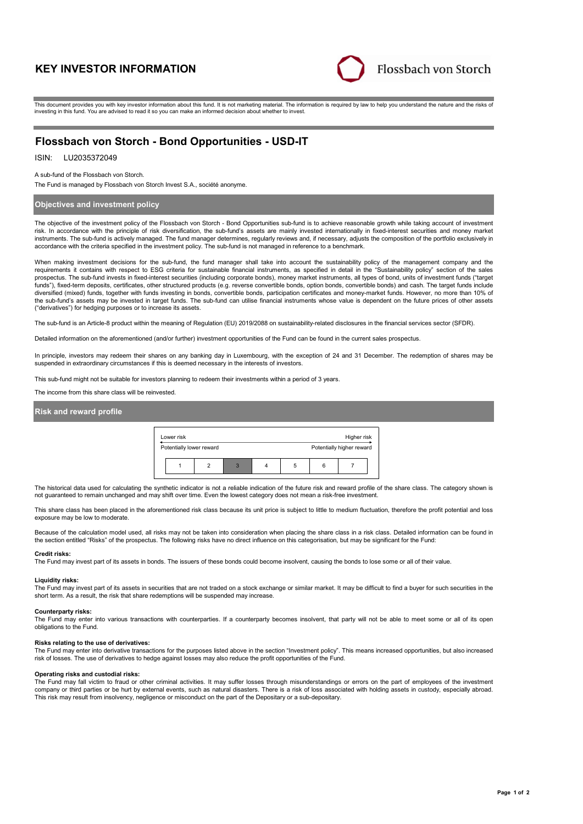# **KEY INVESTOR INFORMATION**



This document provides you with key investor information about this fund. It is not marketing material. The information is required by law to help you understand the nature and the risks of investing in this fund. You are advised to read it so you can make an informed decision about whether to invest.

# **Flossbach von Storch - Bond Opportunities - USD-IT**

### ISIN: LU2035372049

A sub-fund of the Flossbach von Storch.

The Fund is managed by Flossbach von Storch Invest S.A., société anonyme.

### **Objectives and investment policy**

The objective of the investment policy of the Flossbach von Storch - Bond Opportunities sub-fund is to achieve reasonable growth while taking account of investment risk. In accordance with the principle of risk diversification, the sub-fund's assets are mainly invested internationally in fixed-interest securities and money market instruments. The sub-fund is actively managed. The fund manager determines, regularly reviews and, if necessary, adjusts the composition of the portfolio exclusively in accordance with the criteria specified in the investment policy. The sub-fund is not managed in reference to a benchmark.

When making investment decisions for the sub-fund, the fund manager shall take into account the sustainability policy of the management company and the requirements it contains with respect to ESG criteria for sustainable financial instruments, as specified in detail in the "Sustainability policy" section of the sales prospectus. The sub-fund invests in fixed-interest securities (including corporate bonds), money market instruments, all types of bond, units of investment funds ("target funds"), fixed-term deposits, certificates, other structured products (e.g. reverse convertible bonds, option bonds, convertible bonds) and cash. The target funds include diversified (mixed) funds, together with funds investing in bonds, convertible bonds, participation certificates and money-market funds. However, no more than 10% of the sub-fund's assets may be invested in target funds. The sub-fund can utilise financial instruments whose value is dependent on the future prices of other assets ("derivatives") for hedging purposes or to increase its assets.

The sub-fund is an Article-8 product within the meaning of Regulation (EU) 2019/2088 on sustainability-related disclosures in the financial services sector (SFDR).

Detailed information on the aforementioned (and/or further) investment opportunities of the Fund can be found in the current sales prospectus.

In principle, investors may redeem their shares on any banking day in Luxembourg, with the exception of 24 and 31 December. The redemption of shares may be suspended in extraordinary circumstances if this is deemed necessary in the interests of investors.

This sub-fund might not be suitable for investors planning to redeem their investments within a period of 3 years.

The income from this share class will be reinvested.

## **Risk and reward profile**



The historical data used for calculating the synthetic indicator is not a reliable indication of the future risk and reward profile of the share class. The category shown is not guaranteed to remain unchanged and may shift over time. Even the lowest category does not mean a risk-free investment.

This share class has been placed in the aforementioned risk class because its unit price is subject to little to medium fluctuation, therefore the profit potential and loss exposure may be low to moderate.

Because of the calculation model used, all risks may not be taken into consideration when placing the share class in a risk class. Detailed information can be found in the section entitled "Risks" of the prospectus. The following risks have no direct influence on this categorisation, but may be significant for the Fund:

### **Credit risks:**

The Fund may invest part of its assets in bonds. The issuers of these bonds could become insolvent, causing the bonds to lose some or all of their value.

## **Liquidity risks:**

The Fund may invest part of its assets in securities that are not traded on a stock exchange or similar market. It may be difficult to find a buyer for such securities in the short term. As a result, the risk that share redemptions will be suspended may increase.

#### **Counterparty risks:**

The Fund may enter into various transactions with counterparties. If a counterparty becomes insolvent, that party will not be able to meet some or all of its open obligations to the Fund.

#### **Risks relating to the use of derivatives:**

The Fund may enter into derivative transactions for the purposes listed above in the section "Investment policy". This means increased opportunities, but also increased risk of losses. The use of derivatives to hedge against losses may also reduce the profit opportunities of the Fund.

#### **Operating risks and custodial risks:**

The Fund may fall victim to fraud or other criminal activities. It may suffer losses through misunderstandings or errors on the part of employees of the investment company or third parties or be hurt by external events, such as natural disasters. There is a risk of loss associated with holding assets in custody, especially abroad. This risk may result from insolvency, negligence or misconduct on the part of the Depositary or a sub-depositary.